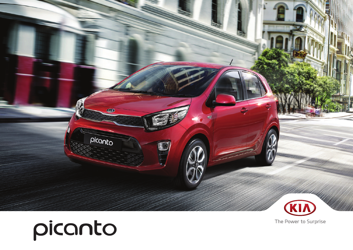



The Power to Surprise